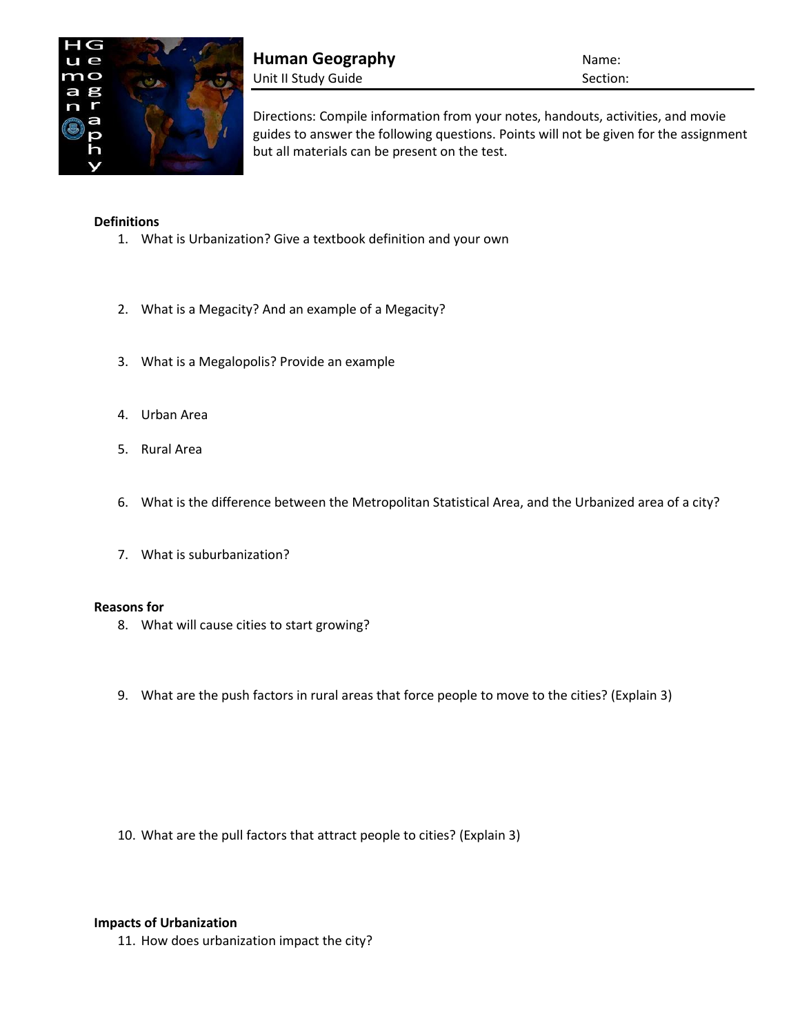

**Human Geography Name:** Name: Unit II Study Guide Section:

Directions: Compile information from your notes, handouts, activities, and movie guides to answer the following questions. Points will not be given for the assignment but all materials can be present on the test.

## **Definitions**

- 1. What is Urbanization? Give a textbook definition and your own
- 2. What is a Megacity? And an example of a Megacity?
- 3. What is a Megalopolis? Provide an example
- 4. Urban Area
- 5. Rural Area
- 6. What is the difference between the Metropolitan Statistical Area, and the Urbanized area of a city?
- 7. What is suburbanization?

## **Reasons for**

- 8. What will cause cities to start growing?
- 9. What are the push factors in rural areas that force people to move to the cities? (Explain 3)

10. What are the pull factors that attract people to cities? (Explain 3)

## **Impacts of Urbanization**

11. How does urbanization impact the city?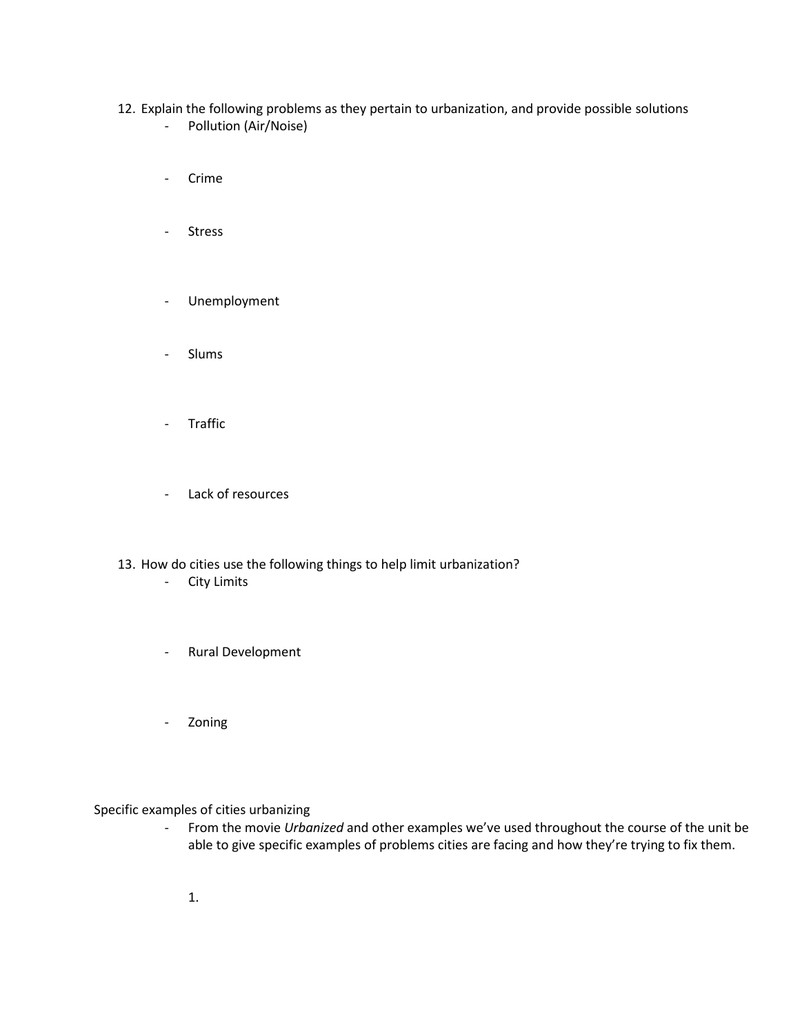- 12. Explain the following problems as they pertain to urbanization, and provide possible solutions - Pollution (Air/Noise)
	- Crime
	- Stress
	- Unemployment
	- Slums
	- Traffic
	- Lack of resources
- 13. How do cities use the following things to help limit urbanization?
	- City Limits
	- Rural Development
	- Zoning

Specific examples of cities urbanizing

- From the movie *Urbanized* and other examples we've used throughout the course of the unit be able to give specific examples of problems cities are facing and how they're trying to fix them.